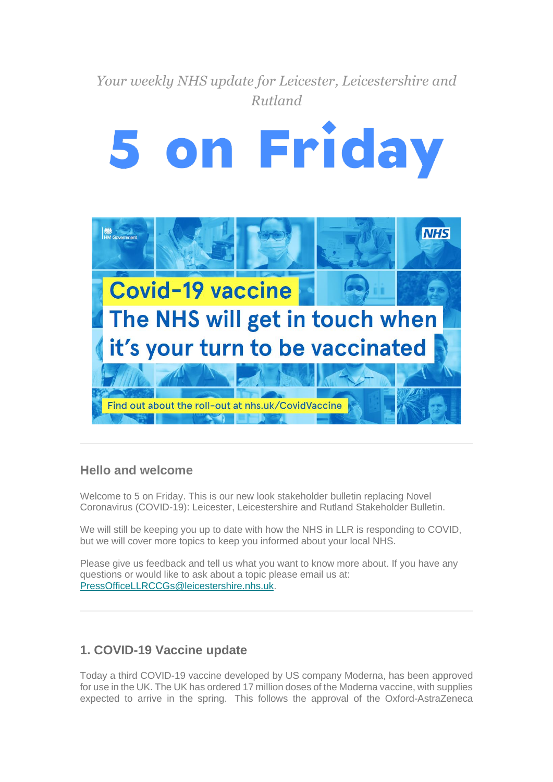

### **Hello and welcome**

Welcome to 5 on Friday. This is our new look stakeholder bulletin replacing Novel Coronavirus (COVID-19): Leicester, Leicestershire and Rutland Stakeholder Bulletin.

We will still be keeping you up to date with how the NHS in LLR is responding to COVID, but we will cover more topics to keep you informed about your local NHS.

Please give us feedback and tell us what you want to know more about. If you have any questions or would like to ask about a topic please email us at: [PressOfficeLLRCCGs@leicestershire.nhs.uk.](mailto:PressOfficeLLRCCGs@leicestershire.nhs.uk)

## **1. COVID-19 Vaccine update**

Today a third COVID-19 vaccine developed by US company Moderna, has been approved for use in the UK. The UK has ordered 17 million doses of the Moderna vaccine, with supplies expected to arrive in the spring. This follows the approval of the Oxford-AstraZeneca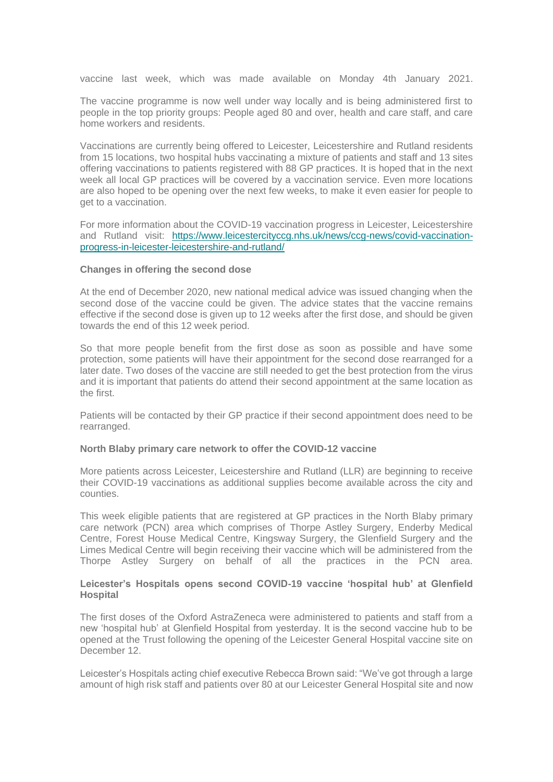vaccine last week, which was made available on Monday 4th January 2021.

The vaccine programme is now well under way locally and is being administered first to people in the top priority groups: People aged 80 and over, health and care staff, and care home workers and residents.

Vaccinations are currently being offered to Leicester, Leicestershire and Rutland residents from 15 locations, two hospital hubs vaccinating a mixture of patients and staff and 13 sites offering vaccinations to patients registered with 88 GP practices. It is hoped that in the next week all local GP practices will be covered by a vaccination service. Even more locations are also hoped to be opening over the next few weeks, to make it even easier for people to get to a vaccination.

For more information about the COVID-19 vaccination progress in Leicester, Leicestershire and Rutland visit: [https://www.leicestercityccg.nhs.uk/news/ccg-news/covid-vaccination](https://nhs.us10.list-manage.com/track/click?u=23297bdcae3ba9bf4ad336a94&id=6adf1c2ec9&e=3d6d3a123b)[progress-in-leicester-leicestershire-and-rutland/](https://nhs.us10.list-manage.com/track/click?u=23297bdcae3ba9bf4ad336a94&id=6adf1c2ec9&e=3d6d3a123b)

#### **Changes in offering the second dose**

At the end of December 2020, new national medical advice was issued changing when the second dose of the vaccine could be given. The advice states that the vaccine remains effective if the second dose is given up to 12 weeks after the first dose, and should be given towards the end of this 12 week period.

So that more people benefit from the first dose as soon as possible and have some protection, some patients will have their appointment for the second dose rearranged for a later date. Two doses of the vaccine are still needed to get the best protection from the virus and it is important that patients do attend their second appointment at the same location as the first.

Patients will be contacted by their GP practice if their second appointment does need to be rearranged.

#### **North Blaby primary care network to offer the COVID-12 vaccine**

More patients across Leicester, Leicestershire and Rutland (LLR) are beginning to receive their COVID-19 vaccinations as additional supplies become available across the city and counties.

This week eligible patients that are registered at GP practices in the North Blaby primary care network (PCN) area which comprises of Thorpe Astley Surgery, Enderby Medical Centre, Forest House Medical Centre, Kingsway Surgery, the Glenfield Surgery and the Limes Medical Centre will begin receiving their vaccine which will be administered from the Thorpe Astley Surgery on behalf of all the practices in the PCN area.

#### **Leicester's Hospitals opens second COVID-19 vaccine 'hospital hub' at Glenfield Hospital**

The first doses of the Oxford AstraZeneca were administered to patients and staff from a new 'hospital hub' at Glenfield Hospital from yesterday. It is the second vaccine hub to be opened at the Trust following the opening of the Leicester General Hospital vaccine site on December 12.

Leicester's Hospitals acting chief executive Rebecca Brown said: "We've got through a large amount of high risk staff and patients over 80 at our Leicester General Hospital site and now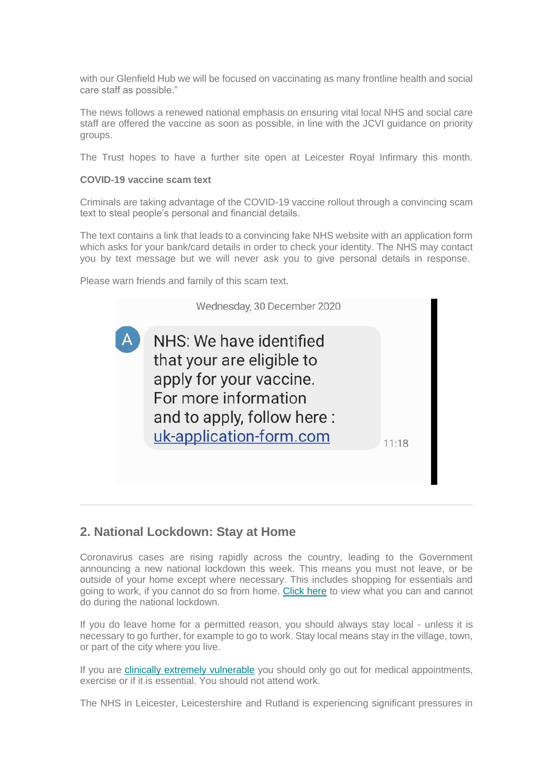with our Glenfield Hub we will be focused on vaccinating as many frontline health and social care staff as possible."

The news follows a renewed national emphasis on ensuring vital local NHS and social care staff are offered the vaccine as soon as possible, in line with the JCVI guidance on priority groups.

The Trust hopes to have a further site open at Leicester Royal Infirmary this month.

#### **COVID-19 vaccine scam text**

Criminals are taking advantage of the COVID-19 vaccine rollout through a convincing scam text to steal people's personal and financial details.

The text contains a link that leads to a convincing fake NHS website with an application form which asks for your bank/card details in order to check your identity. The NHS may contact you by text message but we will never ask you to give personal details in response.

Please warn friends and family of this scam text.



### **2. National Lockdown: Stay at Home**

Coronavirus cases are rising rapidly across the country, leading to the Government announcing a new national lockdown this week. This means you must not leave, or be outside of your home except where necessary. This includes shopping for essentials and going to work, if you cannot do so from home. [Click here](https://nhs.us10.list-manage.com/track/click?u=23297bdcae3ba9bf4ad336a94&id=b942f2d289&e=3d6d3a123b) to view what you can and cannot do during the national lockdown.

If you do leave home for a permitted reason, you should always stay local - unless it is necessary to go further, for example to go to work. Stay local means stay in the village, town, or part of the city where you live.

If you are [clinically extremely vulnerable](https://nhs.us10.list-manage.com/track/click?u=23297bdcae3ba9bf4ad336a94&id=3ab7440378&e=3d6d3a123b) you should only go out for medical appointments, exercise or if it is essential. You should not attend work.

The NHS in Leicester, Leicestershire and Rutland is experiencing significant pressures in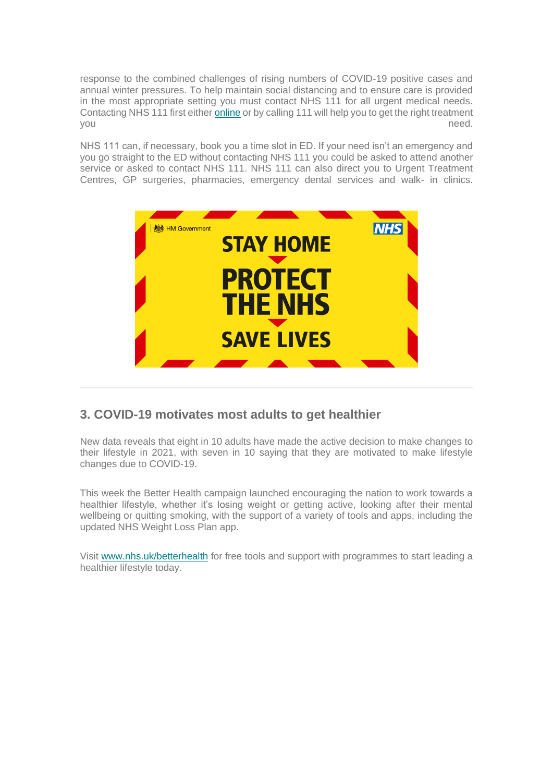response to the combined challenges of rising numbers of COVID-19 positive cases and annual winter pressures. To help maintain social distancing and to ensure care is provided in the most appropriate setting you must contact NHS 111 for all urgent medical needs. Contacting NHS 111 first either [online](https://nhs.us10.list-manage.com/track/click?u=23297bdcae3ba9bf4ad336a94&id=cff7be4fbc&e=3d6d3a123b) or by calling 111 will help you to get the right treatment you are also a set of the set of the set of the set of the set of the set of the set of the set of the set of the set of the set of the set of the set of the set of the set of the set of the set of the set of the set of th

NHS 111 can, if necessary, book you a time slot in ED. If your need isn't an emergency and you go straight to the ED without contacting NHS 111 you could be asked to attend another service or asked to contact NHS 111. NHS 111 can also direct you to Urgent Treatment Centres, GP surgeries, pharmacies, emergency dental services and walk- in clinics.



### **3. COVID-19 motivates most adults to get healthier**

New data reveals that eight in 10 adults have made the active decision to make changes to their lifestyle in 2021, with seven in 10 saying that they are motivated to make lifestyle changes due to COVID-19.

This week the Better Health campaign launched encouraging the nation to work towards a healthier lifestyle, whether it's losing weight or getting active, looking after their mental wellbeing or quitting smoking, with the support of a variety of tools and apps, including the updated NHS Weight Loss Plan app.

Visit [www.nhs.uk/betterhealth](https://nhs.us10.list-manage.com/track/click?u=23297bdcae3ba9bf4ad336a94&id=e9d77143f0&e=3d6d3a123b) for free tools and support with programmes to start leading a healthier lifestyle today.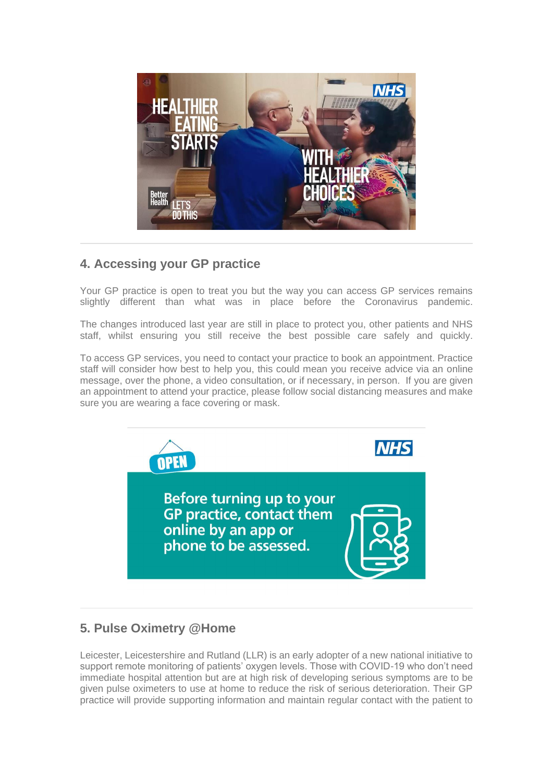

# **4. Accessing your GP practice**

Your GP practice is open to treat you but the way you can access GP services remains slightly different than what was in place before the Coronavirus pandemic.

The changes introduced last year are still in place to protect you, other patients and NHS staff, whilst ensuring you still receive the best possible care safely and quickly.

To access GP services, you need to contact your practice to book an appointment. Practice staff will consider how best to help you, this could mean you receive advice via an online message, over the phone, a video consultation, or if necessary, in person. If you are given an appointment to attend your practice, please follow social distancing measures and make sure you are wearing a face covering or mask.



## **5. Pulse Oximetry @Home**

Leicester, Leicestershire and Rutland (LLR) is an early adopter of a new national initiative to support remote monitoring of patients' oxygen levels. Those with COVID-19 who don't need immediate hospital attention but are at high risk of developing serious symptoms are to be given pulse oximeters to use at home to reduce the risk of serious deterioration. Their GP practice will provide supporting information and maintain regular contact with the patient to